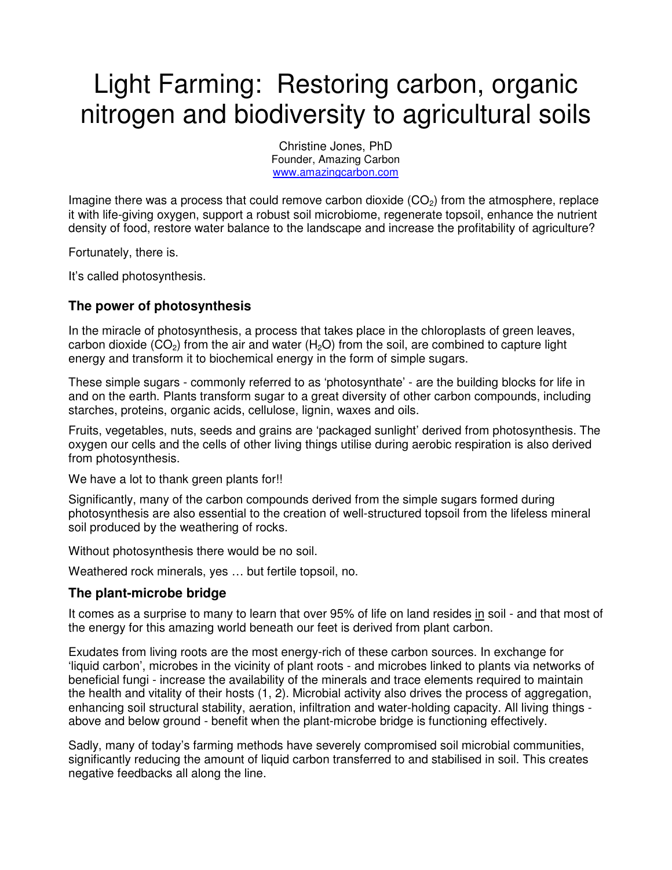# Light Farming: Restoring carbon, organic nitrogen and biodiversity to agricultural soils

Christine Jones, PhD Founder, Amazing Carbon www.amazingcarbon.com

Imagine there was a process that could remove carbon dioxide  $(CO<sub>2</sub>)$  from the atmosphere, replace it with life-giving oxygen, support a robust soil microbiome, regenerate topsoil, enhance the nutrient density of food, restore water balance to the landscape and increase the profitability of agriculture?

Fortunately, there is.

It's called photosynthesis.

### **The power of photosynthesis**

In the miracle of photosynthesis, a process that takes place in the chloroplasts of green leaves, carbon dioxide ( $CO<sub>2</sub>$ ) from the air and water ( $H<sub>2</sub>O$ ) from the soil, are combined to capture light energy and transform it to biochemical energy in the form of simple sugars.

These simple sugars - commonly referred to as 'photosynthate' - are the building blocks for life in and on the earth. Plants transform sugar to a great diversity of other carbon compounds, including starches, proteins, organic acids, cellulose, lignin, waxes and oils.

Fruits, vegetables, nuts, seeds and grains are 'packaged sunlight' derived from photosynthesis. The oxygen our cells and the cells of other living things utilise during aerobic respiration is also derived from photosynthesis.

We have a lot to thank green plants for!!

Significantly, many of the carbon compounds derived from the simple sugars formed during photosynthesis are also essential to the creation of well-structured topsoil from the lifeless mineral soil produced by the weathering of rocks.

Without photosynthesis there would be no soil.

Weathered rock minerals, yes … but fertile topsoil, no.

### **The plant-microbe bridge**

It comes as a surprise to many to learn that over 95% of life on land resides in soil - and that most of the energy for this amazing world beneath our feet is derived from plant carbon.

Exudates from living roots are the most energy-rich of these carbon sources. In exchange for 'liquid carbon', microbes in the vicinity of plant roots - and microbes linked to plants via networks of beneficial fungi - increase the availability of the minerals and trace elements required to maintain the health and vitality of their hosts (1, 2). Microbial activity also drives the process of aggregation, enhancing soil structural stability, aeration, infiltration and water-holding capacity. All living things above and below ground - benefit when the plant-microbe bridge is functioning effectively.

Sadly, many of today's farming methods have severely compromised soil microbial communities, significantly reducing the amount of liquid carbon transferred to and stabilised in soil. This creates negative feedbacks all along the line.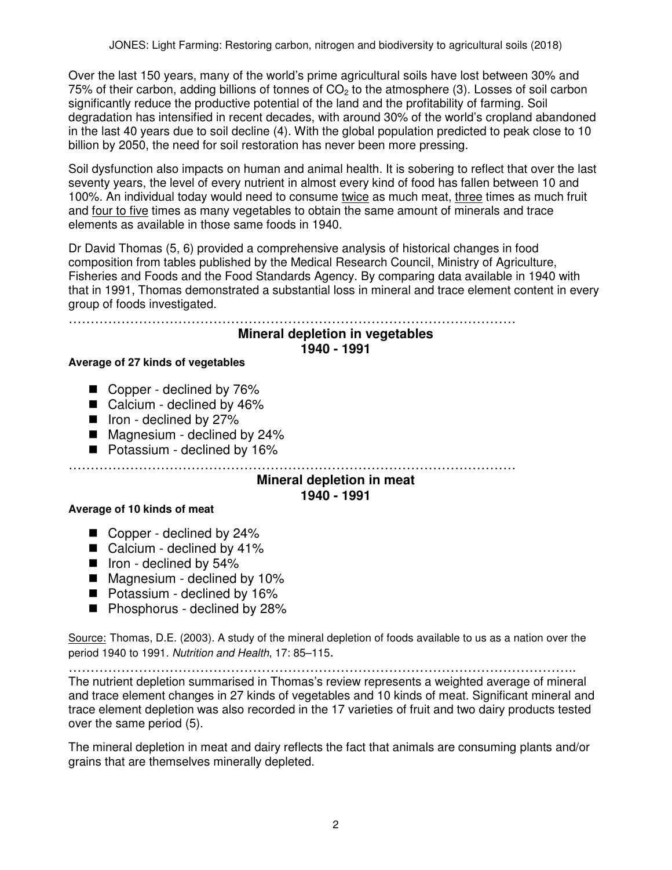Over the last 150 years, many of the world's prime agricultural soils have lost between 30% and 75% of their carbon, adding billions of tonnes of  $CO<sub>2</sub>$  to the atmosphere (3). Losses of soil carbon significantly reduce the productive potential of the land and the profitability of farming. Soil degradation has intensified in recent decades, with around 30% of the world's cropland abandoned in the last 40 years due to soil decline (4). With the global population predicted to peak close to 10 billion by 2050, the need for soil restoration has never been more pressing.

Soil dysfunction also impacts on human and animal health. It is sobering to reflect that over the last seventy years, the level of every nutrient in almost every kind of food has fallen between 10 and 100%. An individual today would need to consume twice as much meat, three times as much fruit and four to five times as many vegetables to obtain the same amount of minerals and trace elements as available in those same foods in 1940.

Dr David Thomas (5, 6) provided a comprehensive analysis of historical changes in food composition from tables published by the Medical Research Council, Ministry of Agriculture, Fisheries and Foods and the Food Standards Agency. By comparing data available in 1940 with that in 1991, Thomas demonstrated a substantial loss in mineral and trace element content in every group of foods investigated.

…………………………………………………………………………………………

### **Mineral depletion in vegetables 1940 - 1991**

### **Average of 27 kinds of vegetables**

- Copper declined by 76%
- Calcium declined by 46%
- $\blacksquare$  Iron declined by 27%
- Magnesium declined by 24%
- Potassium declined by 16%

### …………………………………………………………………………………………

#### **Mineral depletion in meat 1940 - 1991**

### **Average of 10 kinds of meat**

- Copper declined by 24%
- Calcium declined by 41%
- $\blacksquare$  Iron declined by 54%
- Magnesium declined by 10%
- Potassium declined by 16%
- Phosphorus declined by 28%

Source: Thomas, D.E. (2003). A study of the mineral depletion of foods available to us as a nation over the period 1940 to 1991. Nutrition and Health, 17: 85–115.

…………………………………………………………………………………………………….. The nutrient depletion summarised in Thomas's review represents a weighted average of mineral and trace element changes in 27 kinds of vegetables and 10 kinds of meat. Significant mineral and trace element depletion was also recorded in the 17 varieties of fruit and two dairy products tested over the same period (5).

The mineral depletion in meat and dairy reflects the fact that animals are consuming plants and/or grains that are themselves minerally depleted.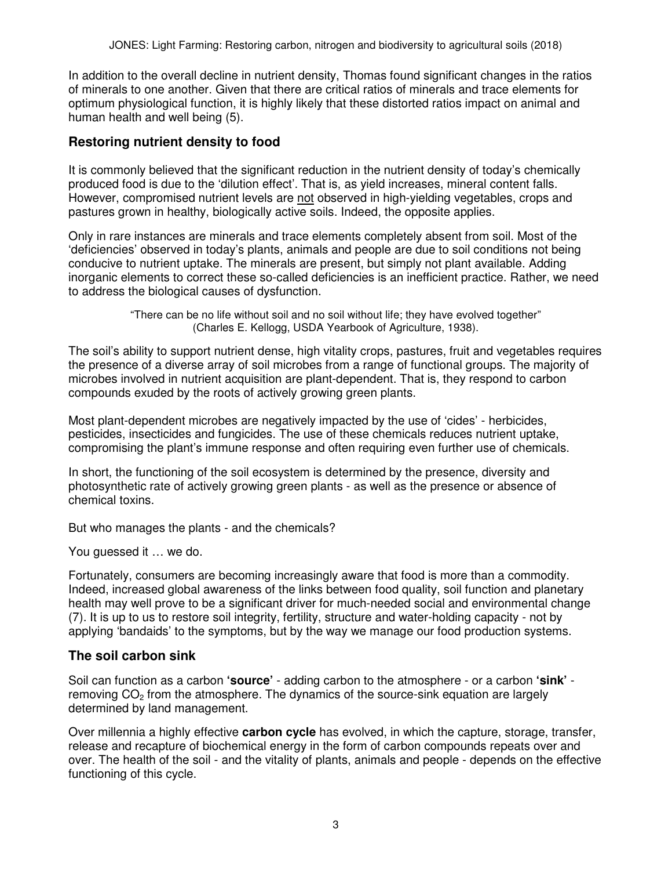In addition to the overall decline in nutrient density, Thomas found significant changes in the ratios of minerals to one another. Given that there are critical ratios of minerals and trace elements for optimum physiological function, it is highly likely that these distorted ratios impact on animal and human health and well being (5).

### **Restoring nutrient density to food**

It is commonly believed that the significant reduction in the nutrient density of today's chemically produced food is due to the 'dilution effect'. That is, as yield increases, mineral content falls. However, compromised nutrient levels are not observed in high-yielding vegetables, crops and pastures grown in healthy, biologically active soils. Indeed, the opposite applies.

Only in rare instances are minerals and trace elements completely absent from soil. Most of the 'deficiencies' observed in today's plants, animals and people are due to soil conditions not being conducive to nutrient uptake. The minerals are present, but simply not plant available. Adding inorganic elements to correct these so-called deficiencies is an inefficient practice. Rather, we need to address the biological causes of dysfunction.

> "There can be no life without soil and no soil without life; they have evolved together" (Charles E. Kellogg, USDA Yearbook of Agriculture, 1938).

The soil's ability to support nutrient dense, high vitality crops, pastures, fruit and vegetables requires the presence of a diverse array of soil microbes from a range of functional groups. The majority of microbes involved in nutrient acquisition are plant-dependent. That is, they respond to carbon compounds exuded by the roots of actively growing green plants.

Most plant-dependent microbes are negatively impacted by the use of 'cides' - herbicides, pesticides, insecticides and fungicides. The use of these chemicals reduces nutrient uptake, compromising the plant's immune response and often requiring even further use of chemicals.

In short, the functioning of the soil ecosystem is determined by the presence, diversity and photosynthetic rate of actively growing green plants - as well as the presence or absence of chemical toxins.

But who manages the plants - and the chemicals?

You guessed it … we do.

Fortunately, consumers are becoming increasingly aware that food is more than a commodity. Indeed, increased global awareness of the links between food quality, soil function and planetary health may well prove to be a significant driver for much-needed social and environmental change (7). It is up to us to restore soil integrity, fertility, structure and water-holding capacity - not by applying 'bandaids' to the symptoms, but by the way we manage our food production systems.

### **The soil carbon sink**

Soil can function as a carbon **'source'** - adding carbon to the atmosphere - or a carbon **'sink'** removing  $CO<sub>2</sub>$  from the atmosphere. The dynamics of the source-sink equation are largely determined by land management.

Over millennia a highly effective **carbon cycle** has evolved, in which the capture, storage, transfer, release and recapture of biochemical energy in the form of carbon compounds repeats over and over. The health of the soil - and the vitality of plants, animals and people - depends on the effective functioning of this cycle.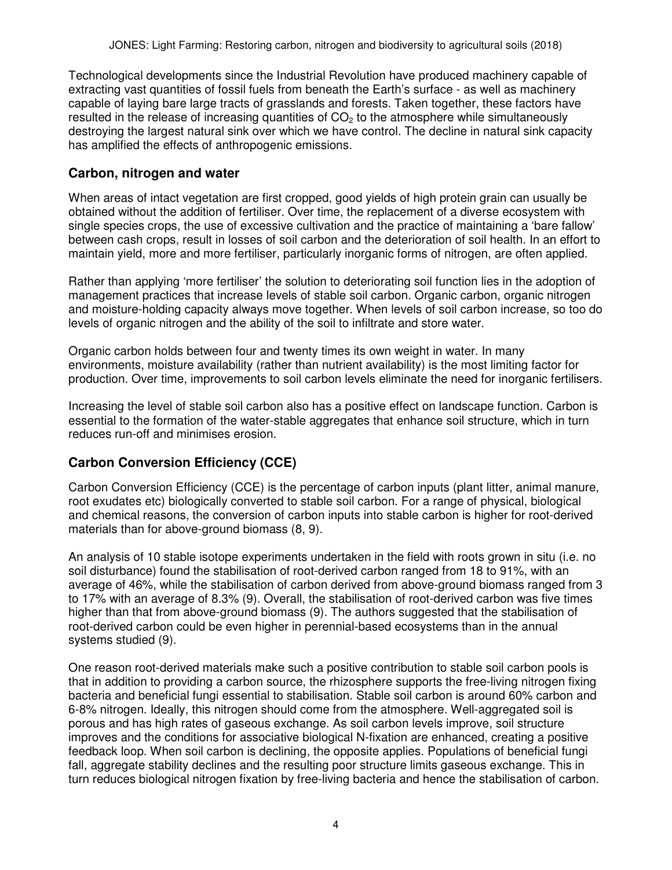Technological developments since the Industrial Revolution have produced machinery capable of extracting vast quantities of fossil fuels from beneath the Earth's surface - as well as machinery capable of laying bare large tracts of grasslands and forests. Taken together, these factors have resulted in the release of increasing quantities of  $CO<sub>2</sub>$  to the atmosphere while simultaneously destroying the largest natural sink over which we have control. The decline in natural sink capacity has amplified the effects of anthropogenic emissions.

### **Carbon, nitrogen and water**

When areas of intact vegetation are first cropped, good yields of high protein grain can usually be obtained without the addition of fertiliser. Over time, the replacement of a diverse ecosystem with single species crops, the use of excessive cultivation and the practice of maintaining a 'bare fallow' between cash crops, result in losses of soil carbon and the deterioration of soil health. In an effort to maintain yield, more and more fertiliser, particularly inorganic forms of nitrogen, are often applied.

Rather than applying 'more fertiliser' the solution to deteriorating soil function lies in the adoption of management practices that increase levels of stable soil carbon. Organic carbon, organic nitrogen and moisture-holding capacity always move together. When levels of soil carbon increase, so too do levels of organic nitrogen and the ability of the soil to infiltrate and store water.

Organic carbon holds between four and twenty times its own weight in water. In many environments, moisture availability (rather than nutrient availability) is the most limiting factor for production. Over time, improvements to soil carbon levels eliminate the need for inorganic fertilisers.

Increasing the level of stable soil carbon also has a positive effect on landscape function. Carbon is essential to the formation of the water-stable aggregates that enhance soil structure, which in turn reduces run-off and minimises erosion.

### **Carbon Conversion Efficiency (CCE)**

Carbon Conversion Efficiency (CCE) is the percentage of carbon inputs (plant litter, animal manure, root exudates etc) biologically converted to stable soil carbon. For a range of physical, biological and chemical reasons, the conversion of carbon inputs into stable carbon is higher for root-derived materials than for above-ground biomass (8, 9).

An analysis of 10 stable isotope experiments undertaken in the field with roots grown in situ (i.e. no soil disturbance) found the stabilisation of root-derived carbon ranged from 18 to 91%, with an average of 46%, while the stabilisation of carbon derived from above-ground biomass ranged from 3 to 17% with an average of 8.3% (9). Overall, the stabilisation of root-derived carbon was five times higher than that from above-ground biomass (9). The authors suggested that the stabilisation of root-derived carbon could be even higher in perennial-based ecosystems than in the annual systems studied (9).

One reason root-derived materials make such a positive contribution to stable soil carbon pools is that in addition to providing a carbon source, the rhizosphere supports the free-living nitrogen fixing bacteria and beneficial fungi essential to stabilisation. Stable soil carbon is around 60% carbon and 6-8% nitrogen. Ideally, this nitrogen should come from the atmosphere. Well-aggregated soil is porous and has high rates of gaseous exchange. As soil carbon levels improve, soil structure improves and the conditions for associative biological N-fixation are enhanced, creating a positive feedback loop. When soil carbon is declining, the opposite applies. Populations of beneficial fungi fall, aggregate stability declines and the resulting poor structure limits gaseous exchange. This in turn reduces biological nitrogen fixation by free-living bacteria and hence the stabilisation of carbon.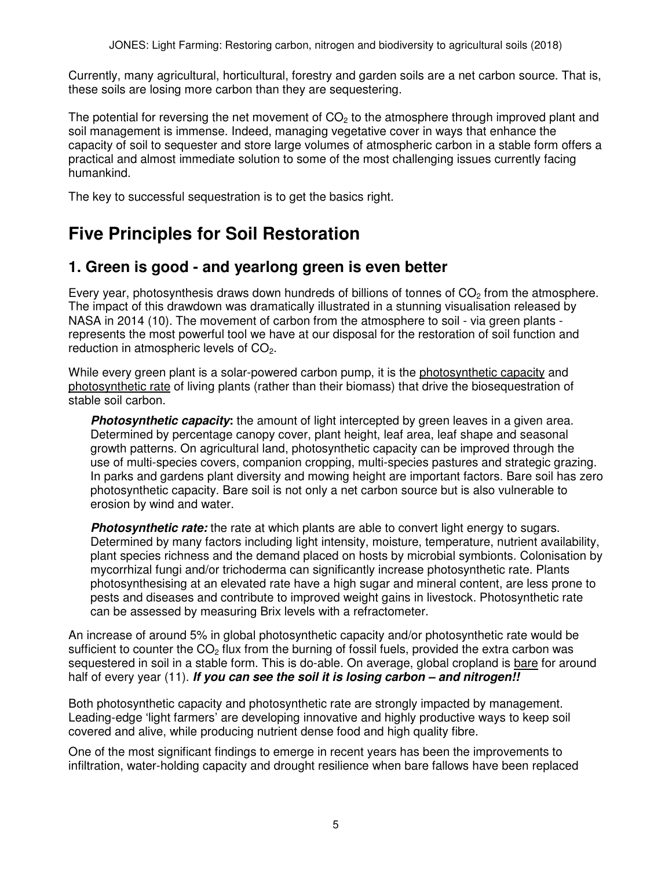Currently, many agricultural, horticultural, forestry and garden soils are a net carbon source. That is, these soils are losing more carbon than they are sequestering.

The potential for reversing the net movement of  $CO<sub>2</sub>$  to the atmosphere through improved plant and soil management is immense. Indeed, managing vegetative cover in ways that enhance the capacity of soil to sequester and store large volumes of atmospheric carbon in a stable form offers a practical and almost immediate solution to some of the most challenging issues currently facing humankind.

The key to successful sequestration is to get the basics right.

# **Five Principles for Soil Restoration**

## **1. Green is good - and yearlong green is even better**

Every year, photosynthesis draws down hundreds of billions of tonnes of  $CO<sub>2</sub>$  from the atmosphere. The impact of this drawdown was dramatically illustrated in a stunning visualisation released by NASA in 2014 (10). The movement of carbon from the atmosphere to soil - via green plants represents the most powerful tool we have at our disposal for the restoration of soil function and reduction in atmospheric levels of  $CO<sub>2</sub>$ .

While every green plant is a solar-powered carbon pump, it is the photosynthetic capacity and photosynthetic rate of living plants (rather than their biomass) that drive the biosequestration of stable soil carbon.

**Photosynthetic capacity:** the amount of light intercepted by green leaves in a given area. Determined by percentage canopy cover, plant height, leaf area, leaf shape and seasonal growth patterns. On agricultural land, photosynthetic capacity can be improved through the use of multi-species covers, companion cropping, multi-species pastures and strategic grazing. In parks and gardens plant diversity and mowing height are important factors. Bare soil has zero photosynthetic capacity. Bare soil is not only a net carbon source but is also vulnerable to erosion by wind and water.

**Photosynthetic rate:** the rate at which plants are able to convert light energy to sugars. Determined by many factors including light intensity, moisture, temperature, nutrient availability, plant species richness and the demand placed on hosts by microbial symbionts. Colonisation by mycorrhizal fungi and/or trichoderma can significantly increase photosynthetic rate. Plants photosynthesising at an elevated rate have a high sugar and mineral content, are less prone to pests and diseases and contribute to improved weight gains in livestock. Photosynthetic rate can be assessed by measuring Brix levels with a refractometer.

An increase of around 5% in global photosynthetic capacity and/or photosynthetic rate would be sufficient to counter the  $CO<sub>2</sub>$  flux from the burning of fossil fuels, provided the extra carbon was sequestered in soil in a stable form. This is do-able. On average, global cropland is bare for around half of every year (11). **If you can see the soil it is losing carbon – and nitrogen!!** 

Both photosynthetic capacity and photosynthetic rate are strongly impacted by management. Leading-edge 'light farmers' are developing innovative and highly productive ways to keep soil covered and alive, while producing nutrient dense food and high quality fibre.

One of the most significant findings to emerge in recent years has been the improvements to infiltration, water-holding capacity and drought resilience when bare fallows have been replaced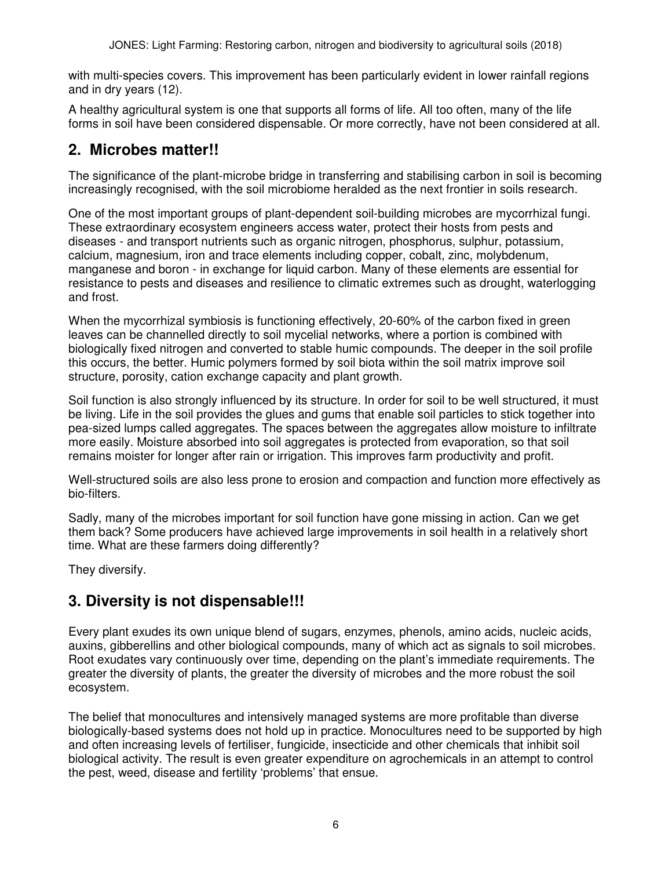with multi-species covers. This improvement has been particularly evident in lower rainfall regions and in dry years (12).

A healthy agricultural system is one that supports all forms of life. All too often, many of the life forms in soil have been considered dispensable. Or more correctly, have not been considered at all.

# **2. Microbes matter!!**

The significance of the plant-microbe bridge in transferring and stabilising carbon in soil is becoming increasingly recognised, with the soil microbiome heralded as the next frontier in soils research.

One of the most important groups of plant-dependent soil-building microbes are mycorrhizal fungi. These extraordinary ecosystem engineers access water, protect their hosts from pests and diseases - and transport nutrients such as organic nitrogen, phosphorus, sulphur, potassium, calcium, magnesium, iron and trace elements including copper, cobalt, zinc, molybdenum, manganese and boron - in exchange for liquid carbon. Many of these elements are essential for resistance to pests and diseases and resilience to climatic extremes such as drought, waterlogging and frost.

When the mycorrhizal symbiosis is functioning effectively, 20-60% of the carbon fixed in green leaves can be channelled directly to soil mycelial networks, where a portion is combined with biologically fixed nitrogen and converted to stable humic compounds. The deeper in the soil profile this occurs, the better. Humic polymers formed by soil biota within the soil matrix improve soil structure, porosity, cation exchange capacity and plant growth.

Soil function is also strongly influenced by its structure. In order for soil to be well structured, it must be living. Life in the soil provides the glues and gums that enable soil particles to stick together into pea-sized lumps called aggregates. The spaces between the aggregates allow moisture to infiltrate more easily. Moisture absorbed into soil aggregates is protected from evaporation, so that soil remains moister for longer after rain or irrigation. This improves farm productivity and profit.

Well-structured soils are also less prone to erosion and compaction and function more effectively as bio-filters.

Sadly, many of the microbes important for soil function have gone missing in action. Can we get them back? Some producers have achieved large improvements in soil health in a relatively short time. What are these farmers doing differently?

They diversify.

## **3. Diversity is not dispensable!!!**

Every plant exudes its own unique blend of sugars, enzymes, phenols, amino acids, nucleic acids, auxins, gibberellins and other biological compounds, many of which act as signals to soil microbes. Root exudates vary continuously over time, depending on the plant's immediate requirements. The greater the diversity of plants, the greater the diversity of microbes and the more robust the soil ecosystem.

The belief that monocultures and intensively managed systems are more profitable than diverse biologically-based systems does not hold up in practice. Monocultures need to be supported by high and often increasing levels of fertiliser, fungicide, insecticide and other chemicals that inhibit soil biological activity. The result is even greater expenditure on agrochemicals in an attempt to control the pest, weed, disease and fertility 'problems' that ensue.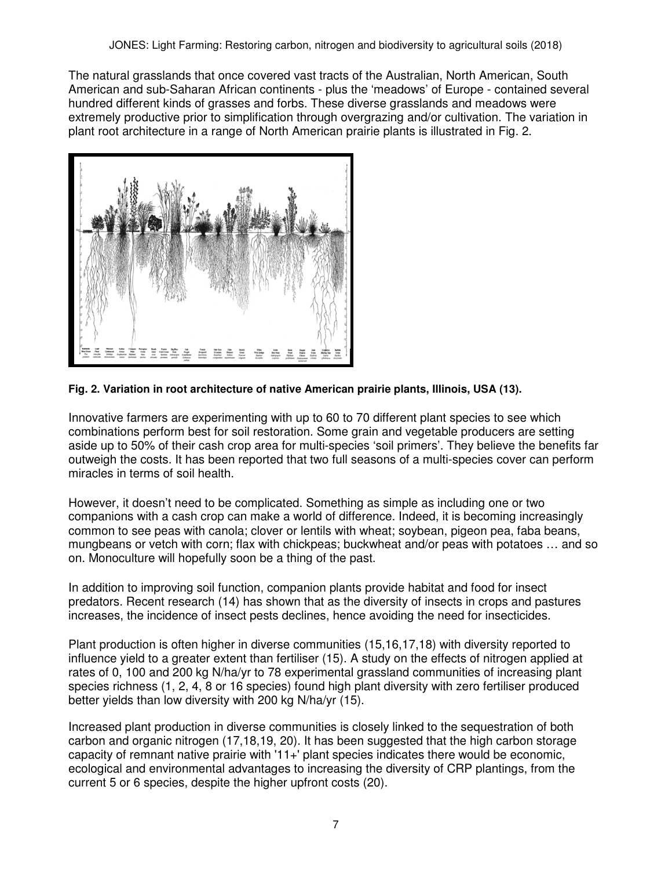The natural grasslands that once covered vast tracts of the Australian, North American, South American and sub-Saharan African continents - plus the 'meadows' of Europe - contained several hundred different kinds of grasses and forbs. These diverse grasslands and meadows were extremely productive prior to simplification through overgrazing and/or cultivation. The variation in plant root architecture in a range of North American prairie plants is illustrated in Fig. 2.



### **Fig. 2. Variation in root architecture of native American prairie plants, Illinois, USA (13).**

Innovative farmers are experimenting with up to 60 to 70 different plant species to see which combinations perform best for soil restoration. Some grain and vegetable producers are setting aside up to 50% of their cash crop area for multi-species 'soil primers'. They believe the benefits far outweigh the costs. It has been reported that two full seasons of a multi-species cover can perform miracles in terms of soil health.

However, it doesn't need to be complicated. Something as simple as including one or two companions with a cash crop can make a world of difference. Indeed, it is becoming increasingly common to see peas with canola; clover or lentils with wheat; soybean, pigeon pea, faba beans, mungbeans or vetch with corn; flax with chickpeas; buckwheat and/or peas with potatoes … and so on. Monoculture will hopefully soon be a thing of the past.

In addition to improving soil function, companion plants provide habitat and food for insect predators. Recent research (14) has shown that as the diversity of insects in crops and pastures increases, the incidence of insect pests declines, hence avoiding the need for insecticides.

Plant production is often higher in diverse communities (15,16,17,18) with diversity reported to influence yield to a greater extent than fertiliser (15). A study on the effects of nitrogen applied at rates of 0, 100 and 200 kg N/ha/yr to 78 experimental grassland communities of increasing plant species richness (1, 2, 4, 8 or 16 species) found high plant diversity with zero fertiliser produced better yields than low diversity with 200 kg N/ha/yr (15).

Increased plant production in diverse communities is closely linked to the sequestration of both carbon and organic nitrogen (17,18,19, 20). It has been suggested that the high carbon storage capacity of remnant native prairie with '11+' plant species indicates there would be economic, ecological and environmental advantages to increasing the diversity of CRP plantings, from the current 5 or 6 species, despite the higher upfront costs (20).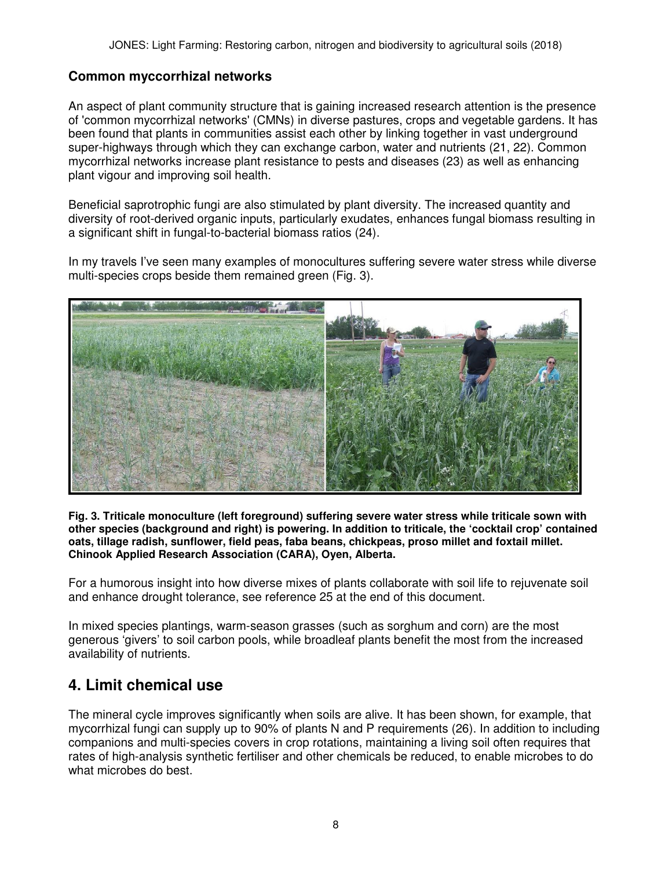### **Common myccorrhizal networks**

An aspect of plant community structure that is gaining increased research attention is the presence of 'common mycorrhizal networks' (CMNs) in diverse pastures, crops and vegetable gardens. It has been found that plants in communities assist each other by linking together in vast underground super-highways through which they can exchange carbon, water and nutrients (21, 22). Common mycorrhizal networks increase plant resistance to pests and diseases (23) as well as enhancing plant vigour and improving soil health.

Beneficial saprotrophic fungi are also stimulated by plant diversity. The increased quantity and diversity of root-derived organic inputs, particularly exudates, enhances fungal biomass resulting in a significant shift in fungal-to-bacterial biomass ratios (24).

In my travels I've seen many examples of monocultures suffering severe water stress while diverse multi-species crops beside them remained green (Fig. 3).



**Fig. 3. Triticale monoculture (left foreground) suffering severe water stress while triticale sown with other species (background and right) is powering. In addition to triticale, the 'cocktail crop' contained oats, tillage radish, sunflower, field peas, faba beans, chickpeas, proso millet and foxtail millet. Chinook Applied Research Association (CARA), Oyen, Alberta.** 

For a humorous insight into how diverse mixes of plants collaborate with soil life to rejuvenate soil and enhance drought tolerance, see reference 25 at the end of this document.

In mixed species plantings, warm-season grasses (such as sorghum and corn) are the most generous 'givers' to soil carbon pools, while broadleaf plants benefit the most from the increased availability of nutrients.

## **4. Limit chemical use**

The mineral cycle improves significantly when soils are alive. It has been shown, for example, that mycorrhizal fungi can supply up to 90% of plants N and P requirements (26). In addition to including companions and multi-species covers in crop rotations, maintaining a living soil often requires that rates of high-analysis synthetic fertiliser and other chemicals be reduced, to enable microbes to do what microbes do best.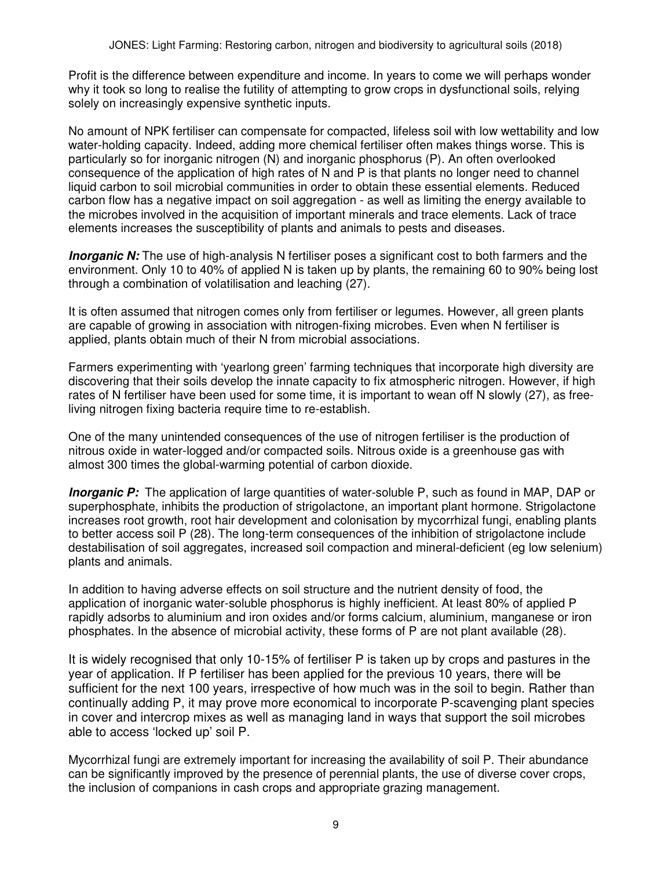Profit is the difference between expenditure and income. In years to come we will perhaps wonder why it took so long to realise the futility of attempting to grow crops in dysfunctional soils, relying solely on increasingly expensive synthetic inputs.

No amount of NPK fertiliser can compensate for compacted, lifeless soil with low wettability and low water-holding capacity. Indeed, adding more chemical fertiliser often makes things worse. This is particularly so for inorganic nitrogen (N) and inorganic phosphorus (P). An often overlooked consequence of the application of high rates of N and P is that plants no longer need to channel liquid carbon to soil microbial communities in order to obtain these essential elements. Reduced carbon flow has a negative impact on soil aggregation - as well as limiting the energy available to the microbes involved in the acquisition of important minerals and trace elements. Lack of trace elements increases the susceptibility of plants and animals to pests and diseases.

**Inorganic N:** The use of high-analysis N fertiliser poses a significant cost to both farmers and the environment. Only 10 to 40% of applied N is taken up by plants, the remaining 60 to 90% being lost through a combination of volatilisation and leaching (27).

It is often assumed that nitrogen comes only from fertiliser or legumes. However, all green plants are capable of growing in association with nitrogen-fixing microbes. Even when N fertiliser is applied, plants obtain much of their N from microbial associations.

Farmers experimenting with 'yearlong green' farming techniques that incorporate high diversity are discovering that their soils develop the innate capacity to fix atmospheric nitrogen. However, if high rates of N fertiliser have been used for some time, it is important to wean off N slowly (27), as freeliving nitrogen fixing bacteria require time to re-establish.

One of the many unintended consequences of the use of nitrogen fertiliser is the production of nitrous oxide in water-logged and/or compacted soils. Nitrous oxide is a greenhouse gas with almost 300 times the global-warming potential of carbon dioxide.

**Inorganic P:** The application of large quantities of water-soluble P, such as found in MAP, DAP or superphosphate, inhibits the production of strigolactone, an important plant hormone. Strigolactone increases root growth, root hair development and colonisation by mycorrhizal fungi, enabling plants to better access soil P (28). The long-term consequences of the inhibition of strigolactone include destabilisation of soil aggregates, increased soil compaction and mineral-deficient (eg low selenium) plants and animals.

In addition to having adverse effects on soil structure and the nutrient density of food, the application of inorganic water-soluble phosphorus is highly inefficient. At least 80% of applied P rapidly adsorbs to aluminium and iron oxides and/or forms calcium, aluminium, manganese or iron phosphates. In the absence of microbial activity, these forms of P are not plant available (28).

It is widely recognised that only 10-15% of fertiliser P is taken up by crops and pastures in the year of application. If P fertiliser has been applied for the previous 10 years, there will be sufficient for the next 100 years, irrespective of how much was in the soil to begin. Rather than continually adding P, it may prove more economical to incorporate P-scavenging plant species in cover and intercrop mixes as well as managing land in ways that support the soil microbes able to access 'locked up' soil P.

Mycorrhizal fungi are extremely important for increasing the availability of soil P. Their abundance can be significantly improved by the presence of perennial plants, the use of diverse cover crops, the inclusion of companions in cash crops and appropriate grazing management.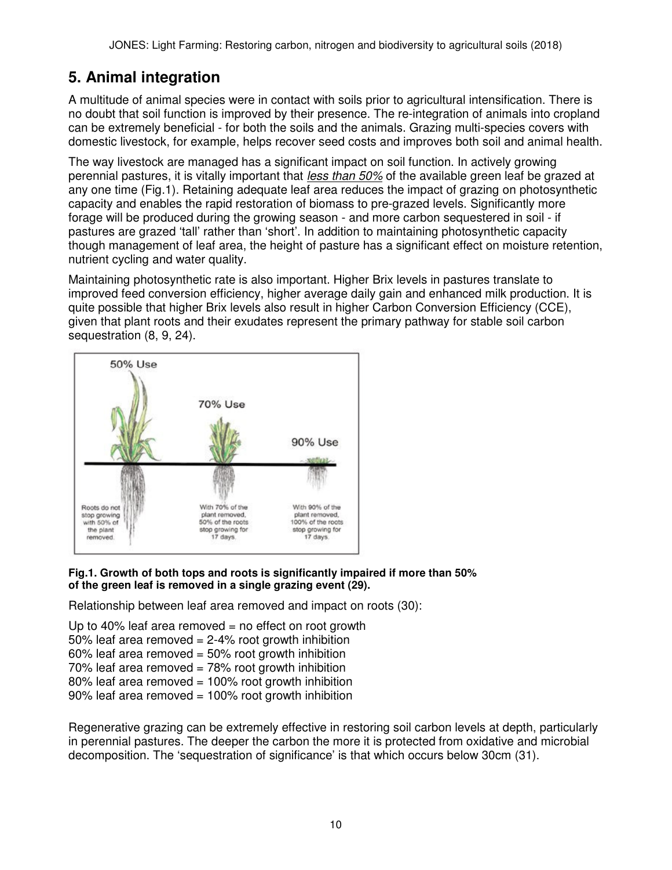# **5. Animal integration**

A multitude of animal species were in contact with soils prior to agricultural intensification. There is no doubt that soil function is improved by their presence. The re-integration of animals into cropland can be extremely beneficial - for both the soils and the animals. Grazing multi-species covers with domestic livestock, for example, helps recover seed costs and improves both soil and animal health.

The way livestock are managed has a significant impact on soil function. In actively growing perennial pastures, it is vitally important that less than 50% of the available green leaf be grazed at any one time (Fig.1). Retaining adequate leaf area reduces the impact of grazing on photosynthetic capacity and enables the rapid restoration of biomass to pre-grazed levels. Significantly more forage will be produced during the growing season - and more carbon sequestered in soil - if pastures are grazed 'tall' rather than 'short'. In addition to maintaining photosynthetic capacity though management of leaf area, the height of pasture has a significant effect on moisture retention, nutrient cycling and water quality.

Maintaining photosynthetic rate is also important. Higher Brix levels in pastures translate to improved feed conversion efficiency, higher average daily gain and enhanced milk production. It is quite possible that higher Brix levels also result in higher Carbon Conversion Efficiency (CCE), given that plant roots and their exudates represent the primary pathway for stable soil carbon sequestration (8, 9, 24).



### **Fig.1. Growth of both tops and roots is significantly impaired if more than 50% of the green leaf is removed in a single grazing event (29).**

Relationship between leaf area removed and impact on roots (30):

Up to 40% leaf area removed  $=$  no effect on root growth 50% leaf area removed  $= 2-4$ % root growth inhibition  $60\%$  leaf area removed =  $50\%$  root growth inhibition  $70\%$  leaf area removed =  $78\%$  root growth inhibition 80% leaf area removed = 100% root growth inhibition 90% leaf area removed = 100% root growth inhibition

Regenerative grazing can be extremely effective in restoring soil carbon levels at depth, particularly in perennial pastures. The deeper the carbon the more it is protected from oxidative and microbial decomposition. The 'sequestration of significance' is that which occurs below 30cm (31).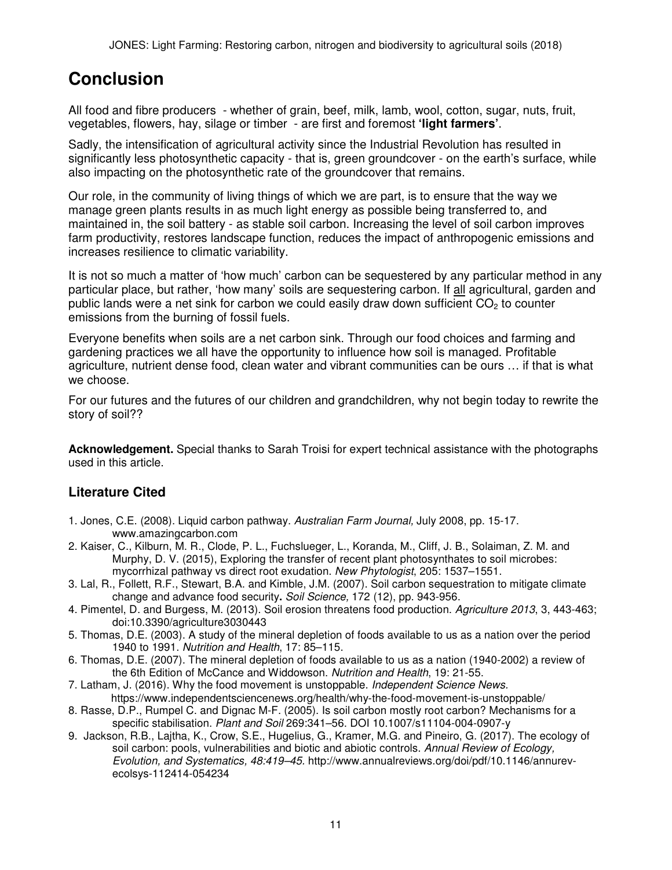# **Conclusion**

All food and fibre producers - whether of grain, beef, milk, lamb, wool, cotton, sugar, nuts, fruit, vegetables, flowers, hay, silage or timber - are first and foremost **'light farmers'**.

Sadly, the intensification of agricultural activity since the Industrial Revolution has resulted in significantly less photosynthetic capacity - that is, green groundcover - on the earth's surface, while also impacting on the photosynthetic rate of the groundcover that remains.

Our role, in the community of living things of which we are part, is to ensure that the way we manage green plants results in as much light energy as possible being transferred to, and maintained in, the soil battery - as stable soil carbon. Increasing the level of soil carbon improves farm productivity, restores landscape function, reduces the impact of anthropogenic emissions and increases resilience to climatic variability.

It is not so much a matter of 'how much' carbon can be sequestered by any particular method in any particular place, but rather, 'how many' soils are sequestering carbon. If all agricultural, garden and public lands were a net sink for carbon we could easily draw down sufficient  $CO<sub>2</sub>$  to counter emissions from the burning of fossil fuels.

Everyone benefits when soils are a net carbon sink. Through our food choices and farming and gardening practices we all have the opportunity to influence how soil is managed. Profitable agriculture, nutrient dense food, clean water and vibrant communities can be ours … if that is what we choose.

For our futures and the futures of our children and grandchildren, why not begin today to rewrite the story of soil??

**Acknowledgement.** Special thanks to Sarah Troisi for expert technical assistance with the photographs used in this article.

### **Literature Cited**

- 1. Jones, C.E. (2008). Liquid carbon pathway. Australian Farm Journal, July 2008, pp. 15-17. www.amazingcarbon.com
- 2. Kaiser, C., Kilburn, M. R., Clode, P. L., Fuchslueger, L., Koranda, M., Cliff, J. B., Solaiman, Z. M. and Murphy, D. V. (2015), Exploring the transfer of recent plant photosynthates to soil microbes: mycorrhizal pathway vs direct root exudation. New Phytologist, 205: 1537–1551.
- 3. Lal, R., Follett, R.F., Stewart, B.A. and Kimble, J.M. (2007). Soil carbon sequestration to mitigate climate change and advance food security**.** Soil Science, 172 (12), pp. 943-956.
- 4. Pimentel, D. and Burgess, M. (2013). Soil erosion threatens food production. Agriculture 2013, 3, 443-463; doi:10.3390/agriculture3030443
- 5. Thomas, D.E. (2003). A study of the mineral depletion of foods available to us as a nation over the period 1940 to 1991. Nutrition and Health, 17: 85–115.
- 6. Thomas, D.E. (2007). The mineral depletion of foods available to us as a nation (1940-2002) a review of the 6th Edition of McCance and Widdowson. Nutrition and Health, 19: 21-55.
- 7. Latham, J. (2016). Why the food movement is unstoppable. Independent Science News. https://www.independentsciencenews.org/health/why-the-food-movement-is-unstoppable/
- 8. Rasse, D.P., Rumpel C. and Dignac M-F. (2005). Is soil carbon mostly root carbon? Mechanisms for a specific stabilisation. Plant and Soil 269:341–56. DOI 10.1007/s11104-004-0907-y
- 9. Jackson, R.B., Lajtha, K., Crow, S.E., Hugelius, G., Kramer, M.G. and Pineiro, G. (2017). The ecology of soil carbon: pools, vulnerabilities and biotic and abiotic controls. Annual Review of Ecology, Evolution, and Systematics, 48:419–45. http://www.annualreviews.org/doi/pdf/10.1146/annurevecolsys-112414-054234